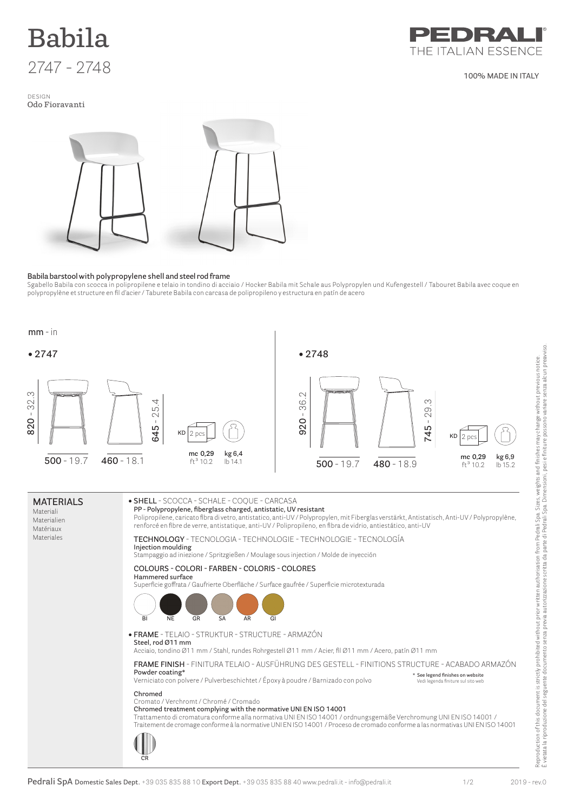

design **Odo Fioravanti**



**100% MADE IN ITALY**



## **Babila barstool with polypropylene shell and steel rod frame**

Sgabello Babila con scocca in polipropilene e telaio in tondino di acciaio / Hocker Babila mit Schale aus Polypropylen und Kufengestell / Tabouret Babila avec coque en polypropylène et structure en fil d'acier / Taburete Babila con carcasa de polipropileno y estructura en patín de acero



Materiali Materialien Matériaux Materiales **PP - Polypropylene, fiberglass charged, antistatic, UV resistant** Polipropilene, caricato fibra di vetro, antistatico, anti-UV / Polypropylen, mit Fiberglas verstärkt, Antistatisch, Anti-UV / Polypropylène, renforcé en fibre de verre, antistatique, anti-UV / Polipropileno, en fibra de vidrio, antiestático, anti-UV **Technology** - tecnologia - Technologie - Technologie - Tecnología **Injection moulding** Stampaggio ad iniezione / Spritzgießen / Moulage sous injection / Molde de inyección **Colours - colori - Farben - Coloris - Colores Hammered surface** Superficie goffrata / Gaufrierte Oberfläche / Surface gaufrée / Superficie microtexturada **• FRAME** - TELAIO - STRUKTUR - Structure - Armazón **Steel, rod Ø11 mm** Acciaio, tondino Ø11 mm / Stahl, rundes Rohrgestell Ø11 mm / Acier, fil Ø11 mm / Acero, patín Ø11 mm **Frame Finish** - FINITURA TELAIO - Ausführung Des Gestell - Finitions Structure - Acabado Armazón **Powder coating\*** Verniciato con polvere / Pulverbeschichtet / Époxy à poudre / Barnizado con polvo **Chromed** Cromato / Verchromt / Chromé / Cromado **Chromed treatment complying with the normative UNI EN ISO 14001** Trattamento di cromatura conforme alla normativa UNI EN ISO 14001 / ordnungsgemäße Verchromung UNI EN ISO 14001 / Traitement de cromage conforme à la normative UNI EN ISO 14001 / Proceso de cromado conforme a las normativas UNI EN ISO 14001 **\* See legend finishes on website** Vedi legenda finiture sul sito web **BI NE GR SA AR GI CR**